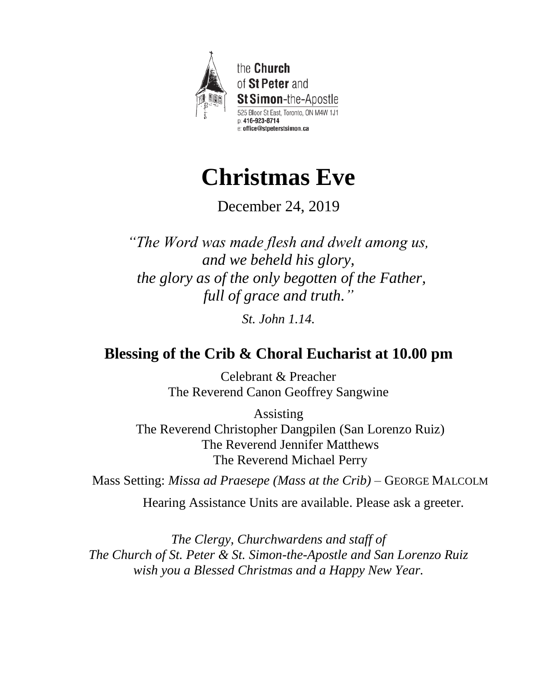

# **Christmas Eve**

December 24, 2019

*"The Word was made flesh and dwelt among us, and we beheld his glory, the glory as of the only begotten of the Father, full of grace and truth."*

*St. John 1.14.*

# **Blessing of the Crib & Choral Eucharist at 10.00 pm**

Celebrant & Preacher The Reverend Canon Geoffrey Sangwine

Assisting The Reverend Christopher Dangpilen (San Lorenzo Ruiz) The Reverend Jennifer Matthews The Reverend Michael Perry

Mass Setting: *Missa ad Praesepe (Mass at the Crib)* – GEORGE MALCOLM

Hearing Assistance Units are available. Please ask a greeter.

*The Clergy, Churchwardens and staff of The Church of St. Peter & St. Simon-the-Apostle and San Lorenzo Ruiz wish you a Blessed Christmas and a Happy New Year.*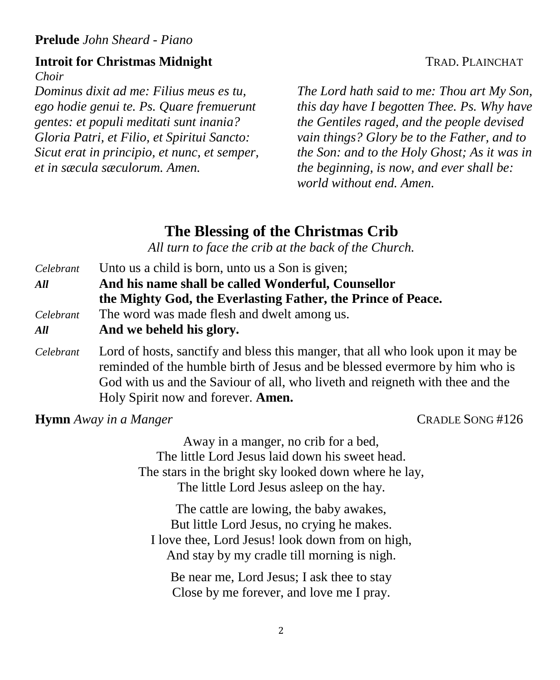#### **Prelude** *John Sheard - Piano*

#### **Introit for Christmas Midnight TRAD. PLAINCHAT**

*Choir*

*Dominus dixit ad me: Filius meus es tu, ego hodie genui te. Ps. Quare fremuerunt gentes: et populi meditati sunt inania? Gloria Patri, et Filio, et Spiritui Sancto: Sicut erat in principio, et nunc, et semper, et in sæcula sæculorum. Amen.*

*The Lord hath said to me: Thou art My Son, this day have I begotten Thee. Ps. Why have the Gentiles raged, and the people devised vain things? Glory be to the Father, and to the Son: and to the Holy Ghost; As it was in the beginning, is now, and ever shall be: world without end. Amen.*

# **The Blessing of the Christmas Crib**

*All turn to face the crib at the back of the Church.*

| Celebrant | Unto us a child is born, unto us a Son is given;                                                                                                                                                                                                |  |  |
|-----------|-------------------------------------------------------------------------------------------------------------------------------------------------------------------------------------------------------------------------------------------------|--|--|
| All       | And his name shall be called Wonderful, Counsellor                                                                                                                                                                                              |  |  |
|           | the Mighty God, the Everlasting Father, the Prince of Peace.                                                                                                                                                                                    |  |  |
| Celebrant | The word was made flesh and dwelt among us.                                                                                                                                                                                                     |  |  |
| All       | And we beheld his glory.                                                                                                                                                                                                                        |  |  |
| Celebrant | Lord of hosts, sanctify and bless this manger, that all who look upon it may be<br>reminded of the humble birth of Jesus and be blessed evermore by him who is<br>God with us and the Saviour of all, who liveth and reigneth with thee and the |  |  |

Holy Spirit now and forever. **Amen.**

**Hymn** *Away in a Manger* CRADLE SONG #126

Away in a manger, no crib for a bed, The little Lord Jesus laid down his sweet head. The stars in the bright sky looked down where he lay, The little Lord Jesus asleep on the hay.

The cattle are lowing, the baby awakes, But little Lord Jesus, no crying he makes. I love thee, Lord Jesus! look down from on high, And stay by my cradle till morning is nigh.

Be near me, Lord Jesus; I ask thee to stay Close by me forever, and love me I pray.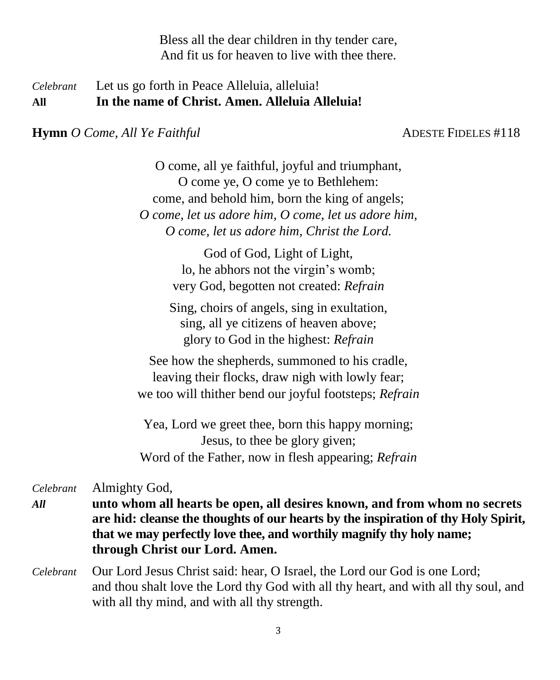Bless all the dear children in thy tender care, And fit us for heaven to live with thee there.

#### *Celebrant* Let us go forth in Peace Alleluia, alleluia! **All In the name of Christ. Amen. Alleluia Alleluia!**

**Hymn** *O* Come, All Ye Faithful **ADESTE FIDELES** #118

O come, all ye faithful, joyful and triumphant, O come ye, O come ye to Bethlehem: come, and behold him, born the king of angels; *O come, let us adore him, O come, let us adore him, O come, let us adore him, Christ the Lord.*

> God of God, Light of Light, lo, he abhors not the virgin's womb; very God, begotten not created: *Refrain*

Sing, choirs of angels, sing in exultation, sing, all ye citizens of heaven above; glory to God in the highest: *Refrain*

See how the shepherds, summoned to his cradle, leaving their flocks, draw nigh with lowly fear; we too will thither bend our joyful footsteps; *Refrain*

Yea, Lord we greet thee, born this happy morning; Jesus, to thee be glory given; Word of the Father, now in flesh appearing; *Refrain*

*Celebrant* Almighty God,

- *All* **unto whom all hearts be open, all desires known, and from whom no secrets are hid: cleanse the thoughts of our hearts by the inspiration of thy Holy Spirit, that we may perfectly love thee, and worthily magnify thy holy name; through Christ our Lord. Amen.**
- *Celebrant* Our Lord Jesus Christ said: hear, O Israel, the Lord our God is one Lord; and thou shalt love the Lord thy God with all thy heart, and with all thy soul, and with all thy mind, and with all thy strength.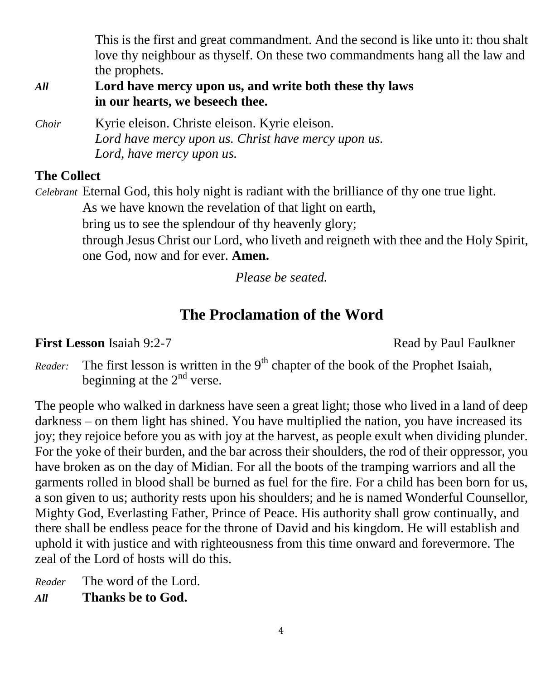This is the first and great commandment. And the second is like unto it: thou shalt love thy neighbour as thyself. On these two commandments hang all the law and the prophets.

### *All* **Lord have mercy upon us, and write both these thy laws in our hearts, we beseech thee.**

*Choir* Kyrie eleison. Christe eleison. Kyrie eleison. *Lord have mercy upon us. Christ have mercy upon us. Lord, have mercy upon us.*

#### **The Collect**

*Celebrant* Eternal God, this holy night is radiant with the brilliance of thy one true light.

As we have known the revelation of that light on earth,

bring us to see the splendour of thy heavenly glory;

through Jesus Christ our Lord, who liveth and reigneth with thee and the Holy Spirit, one God, now and for ever. **Amen.**

*Please be seated.*

# **The Proclamation of the Word**

# **First Lesson** Isaiah 9:2-7 Read by Paul Faulkner

*Reader:* The first lesson is written in the  $9<sup>th</sup>$  chapter of the book of the Prophet Isaiah, beginning at the  $2<sup>nd</sup>$  verse.

The people who walked in darkness have seen a great light; those who lived in a land of deep darkness – on them light has shined. You have multiplied the nation, you have increased its joy; they rejoice before you as with joy at the harvest, as people exult when dividing plunder. For the yoke of their burden, and the bar across their shoulders, the rod of their oppressor, you have broken as on the day of Midian. For all the boots of the tramping warriors and all the garments rolled in blood shall be burned as fuel for the fire. For a child has been born for us, a son given to us; authority rests upon his shoulders; and he is named Wonderful Counsellor, Mighty God, Everlasting Father, Prince of Peace. His authority shall grow continually, and there shall be endless peace for the throne of David and his kingdom. He will establish and uphold it with justice and with righteousness from this time onward and forevermore. The zeal of the Lord of hosts will do this.

*Reader* The word of the Lord. *All* **Thanks be to God.**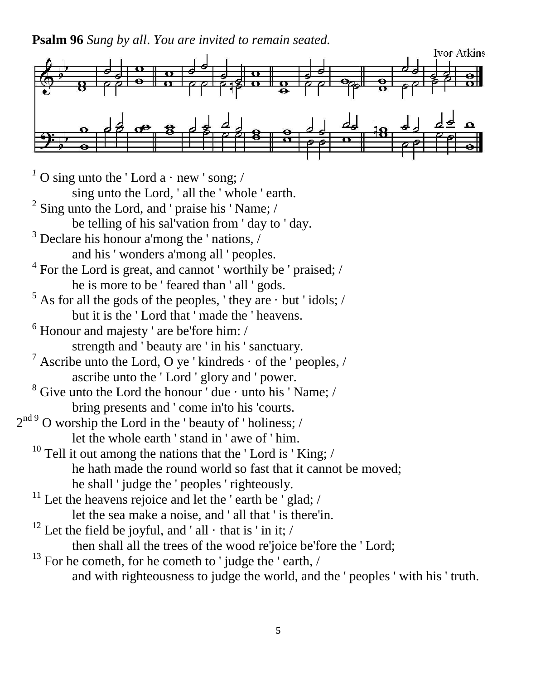**Psalm 96** *Sung by all*. *You are invited to remain seated.*

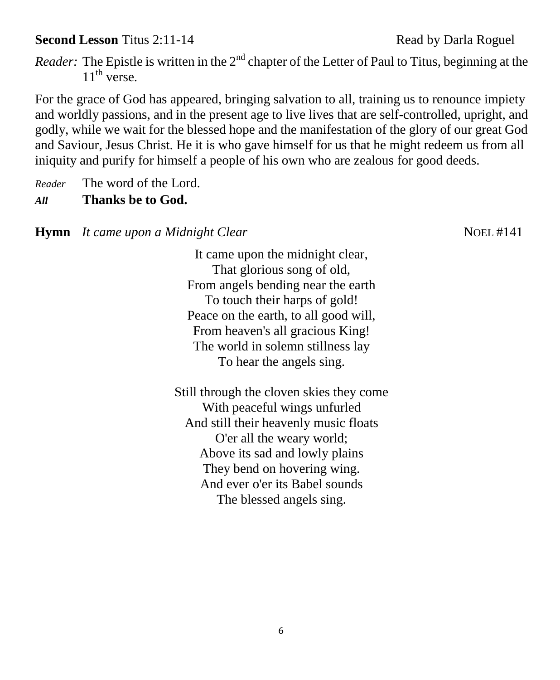**Second Lesson** Titus 2:11-14 Read by Darla Roguel

*Reader:* The Epistle is written in the 2<sup>nd</sup> chapter of the Letter of Paul to Titus, beginning at the  $11<sup>th</sup>$  verse.

For the grace of God has appeared, bringing salvation to all, training us to renounce impiety and worldly passions, and in the present age to live lives that are self-controlled, upright, and godly, while we wait for the blessed hope and the manifestation of the glory of our great God and Saviour, Jesus Christ. He it is who gave himself for us that he might redeem us from all iniquity and purify for himself a people of his own who are zealous for good deeds.

*Reader* The word of the Lord.

*All* **Thanks be to God.**

**Hymn** *It came upon a Midnight Clear* NOEL #141

It came upon the midnight clear, That glorious song of old, From angels bending near the earth To touch their harps of gold! Peace on the earth, to all good will, From heaven's all gracious King! The world in solemn stillness lay To hear the angels sing.

Still through the cloven skies they come With peaceful wings unfurled And still their heavenly music floats O'er all the weary world; Above its sad and lowly plains They bend on hovering wing. And ever o'er its Babel sounds The blessed angels sing.

6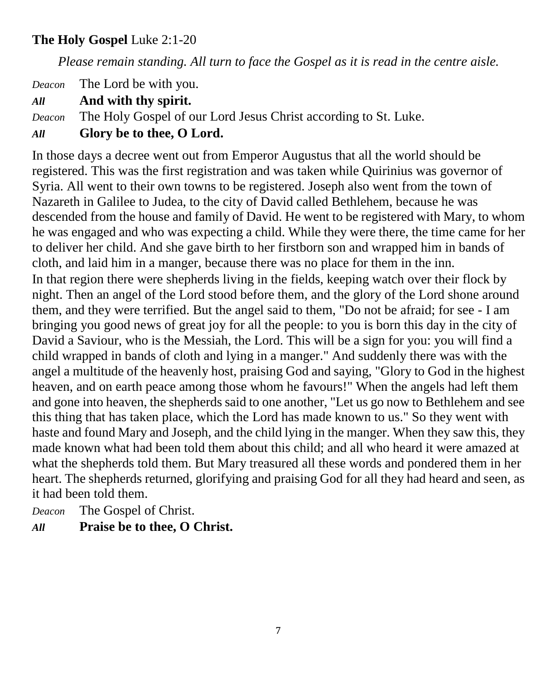# **The Holy Gospel** Luke 2:1-20

*Please remain standing. All turn to face the Gospel as it is read in the centre aisle.*

*Deacon* The Lord be with you. *All* **And with thy spirit.**

*Deacon* The Holy Gospel of our Lord Jesus Christ according to St. Luke.

# *All* **Glory be to thee, O Lord.**

In those days a decree went out from Emperor Augustus that all the world should be registered. This was the first registration and was taken while Quirinius was governor of Syria. All went to their own towns to be registered. Joseph also went from the town of Nazareth in Galilee to Judea, to the city of David called Bethlehem, because he was descended from the house and family of David. He went to be registered with Mary, to whom he was engaged and who was expecting a child. While they were there, the time came for her to deliver her child. And she gave birth to her firstborn son and wrapped him in bands of cloth, and laid him in a manger, because there was no place for them in the inn. In that region there were shepherds living in the fields, keeping watch over their flock by night. Then an angel of the Lord stood before them, and the glory of the Lord shone around them, and they were terrified. But the angel said to them, "Do not be afraid; for see - I am bringing you good news of great joy for all the people: to you is born this day in the city of David a Saviour, who is the Messiah, the Lord. This will be a sign for you: you will find a child wrapped in bands of cloth and lying in a manger." And suddenly there was with the angel a multitude of the heavenly host, praising God and saying, "Glory to God in the highest heaven, and on earth peace among those whom he favours!" When the angels had left them and gone into heaven, the shepherds said to one another, "Let us go now to Bethlehem and see this thing that has taken place, which the Lord has made known to us." So they went with haste and found Mary and Joseph, and the child lying in the manger. When they saw this, they made known what had been told them about this child; and all who heard it were amazed at what the shepherds told them. But Mary treasured all these words and pondered them in her heart. The shepherds returned, glorifying and praising God for all they had heard and seen, as it had been told them.

*Deacon* The Gospel of Christ.

*All* **Praise be to thee, O Christ.**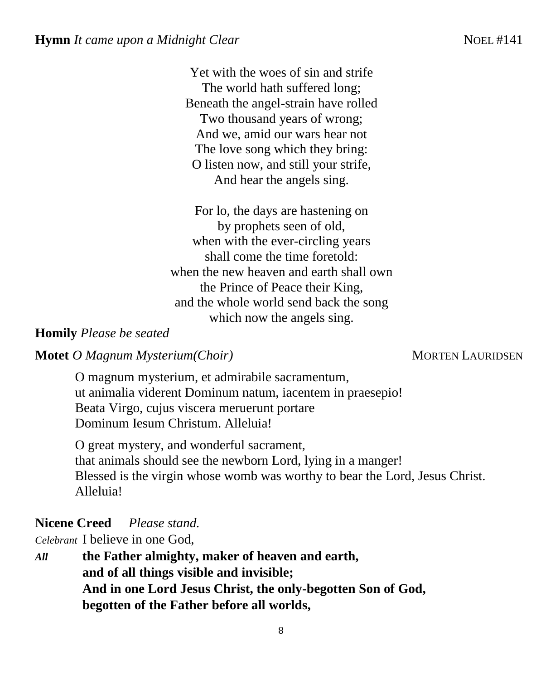Yet with the woes of sin and strife The world hath suffered long; Beneath the angel-strain have rolled Two thousand years of wrong; And we, amid our wars hear not The love song which they bring: O listen now, and still your strife, And hear the angels sing.

For lo, the days are hastening on by prophets seen of old, when with the ever-circling years shall come the time foretold: when the new heaven and earth shall own the Prince of Peace their King, and the whole world send back the song which now the angels sing.

**Homily** *Please be seated*

#### **Motet** *O Magnum Mysterium(Choir)* MORTEN LAURIDSEN

O magnum mysterium, et admirabile sacramentum, ut animalia viderent Dominum natum, iacentem in praesepio! Beata Virgo, cujus viscera meruerunt portare Dominum Iesum Christum. Alleluia!

O great mystery, and wonderful sacrament, that animals should see the newborn Lord, lying in a manger! Blessed is the virgin whose womb was worthy to bear the Lord, Jesus Christ. Alleluia!

# **Nicene Creed** *Please stand.*

*Celebrant* I believe in one God,

*All* **the Father almighty, maker of heaven and earth, and of all things visible and invisible; And in one Lord Jesus Christ, the only-begotten Son of God, begotten of the Father before all worlds,**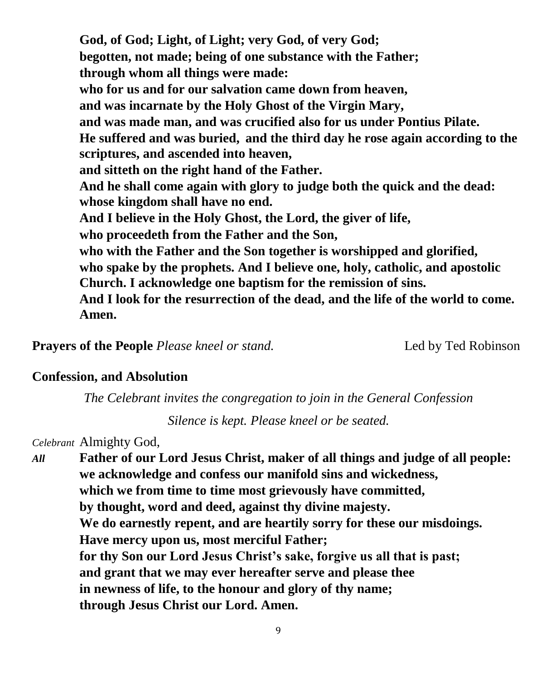**God, of God; Light, of Light; very God, of very God; begotten, not made; being of one substance with the Father; through whom all things were made: who for us and for our salvation came down from heaven, and was incarnate by the Holy Ghost of the Virgin Mary, and was made man, and was crucified also for us under Pontius Pilate. He suffered and was buried, and the third day he rose again according to the scriptures, and ascended into heaven, and sitteth on the right hand of the Father. And he shall come again with glory to judge both the quick and the dead: whose kingdom shall have no end. And I believe in the Holy Ghost, the Lord, the giver of life, who proceedeth from the Father and the Son, who with the Father and the Son together is worshipped and glorified, who spake by the prophets. And I believe one, holy, catholic, and apostolic Church. I acknowledge one baptism for the remission of sins. And I look for the resurrection of the dead, and the life of the world to come. Amen.**

**Prayers of the People** *Please kneel or stand.* Led by Ted Robinson

#### **Confession, and Absolution**

*The Celebrant invites the congregation to join in the General Confession*

*Silence is kept. Please kneel or be seated.*

*Celebrant* Almighty God,

*All* **Father of our Lord Jesus Christ, maker of all things and judge of all people: we acknowledge and confess our manifold sins and wickedness, which we from time to time most grievously have committed, by thought, word and deed, against thy divine majesty. We do earnestly repent, and are heartily sorry for these our misdoings. Have mercy upon us, most merciful Father; for thy Son our Lord Jesus Christ's sake, forgive us all that is past; and grant that we may ever hereafter serve and please thee in newness of life, to the honour and glory of thy name; through Jesus Christ our Lord. Amen.**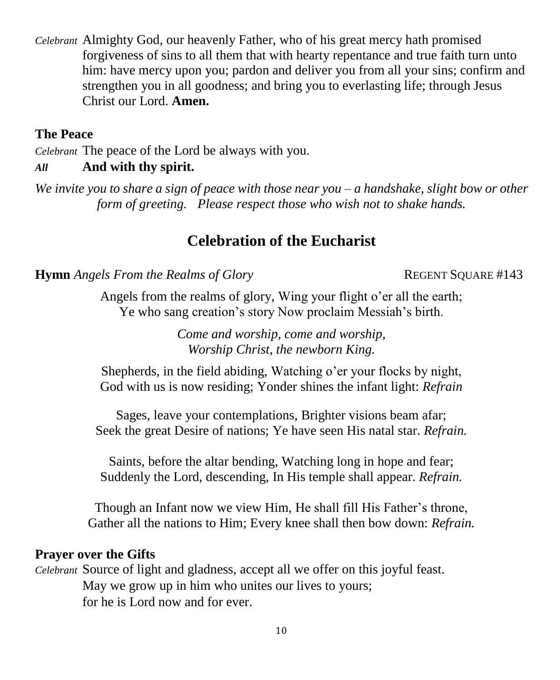*Celebrant* Almighty God, our heavenly Father, who of his great mercy hath promised forgiveness of sins to all them that with hearty repentance and true faith turn unto him: have mercy upon you; pardon and deliver you from all your sins; confirm and strengthen you in all goodness; and bring you to everlasting life; through Jesus Christ our Lord. **Amen.**

#### **The Peace**

*Celebrant* The peace of the Lord be always with you.

### *All* **And with thy spirit.**

*We invite you to share a sign of peace with those near you – a handshake, slight bow or other form of greeting. Please respect those who wish not to shake hands.*

# **Celebration of the Eucharist**

**Hymn** *Angels From the Realms of Glory* REGENT SQUARE #143

Angels from the realms of glory, Wing your flight o'er all the earth; Ye who sang creation's story Now proclaim Messiah's birth.

> *Come and worship, come and worship, Worship Christ, the newborn King.*

Shepherds, in the field abiding, Watching o'er your flocks by night, God with us is now residing; Yonder shines the infant light: *Refrain*

Sages, leave your contemplations, Brighter visions beam afar; Seek the great Desire of nations; Ye have seen His natal star. *Refrain.*

Saints, before the altar bending, Watching long in hope and fear; Suddenly the Lord, descending, In His temple shall appear. *Refrain.*

Though an Infant now we view Him, He shall fill His Father's throne, Gather all the nations to Him; Every knee shall then bow down: *Refrain.*

#### **Prayer over the Gifts**

*Celebrant* Source of light and gladness, accept all we offer on this joyful feast. May we grow up in him who unites our lives to yours; for he is Lord now and for ever.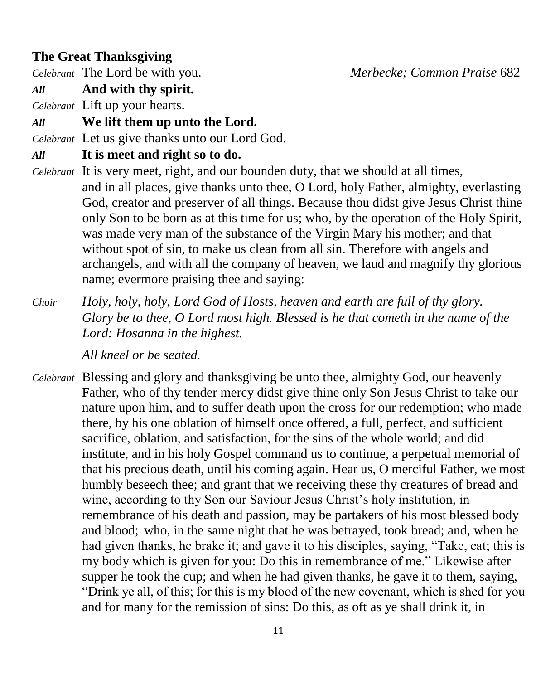#### **The Great Thanksgiving**

*Celebrant* The Lord be with you.*Merbecke; Common Praise* 682

- 
- *All* **And with thy spirit.**

*Celebrant* Lift up your hearts.

- *All* **We lift them up unto the Lord.**
- *Celebrant* Let us give thanks unto our Lord God.
- *All* **It is meet and right so to do.**
- *Celebrant* It is very meet, right, and our bounden duty, that we should at all times, and in all places, give thanks unto thee, O Lord, holy Father, almighty, everlasting God, creator and preserver of all things. Because thou didst give Jesus Christ thine only Son to be born as at this time for us; who, by the operation of the Holy Spirit, was made very man of the substance of the Virgin Mary his mother; and that without spot of sin, to make us clean from all sin. Therefore with angels and archangels, and with all the company of heaven, we laud and magnify thy glorious name; evermore praising thee and saying:
- *Choir Holy, holy, holy, Lord God of Hosts, heaven and earth are full of thy glory. Glory be to thee, O Lord most high. Blessed is he that cometh in the name of the Lord: Hosanna in the highest.*

*All kneel or be seated.*

*Celebrant* Blessing and glory and thanksgiving be unto thee, almighty God, our heavenly Father, who of thy tender mercy didst give thine only Son Jesus Christ to take our nature upon him, and to suffer death upon the cross for our redemption; who made there, by his one oblation of himself once offered, a full, perfect, and sufficient sacrifice, oblation, and satisfaction, for the sins of the whole world; and did institute, and in his holy Gospel command us to continue, a perpetual memorial of that his precious death, until his coming again. Hear us, O merciful Father, we most humbly beseech thee; and grant that we receiving these thy creatures of bread and wine, according to thy Son our Saviour Jesus Christ's holy institution, in remembrance of his death and passion, may be partakers of his most blessed body and blood; who, in the same night that he was betrayed, took bread; and, when he had given thanks, he brake it; and gave it to his disciples, saying, "Take, eat; this is my body which is given for you: Do this in remembrance of me." Likewise after supper he took the cup; and when he had given thanks, he gave it to them, saying, "Drink ye all, of this; for this is my blood of the new covenant, which is shed for you and for many for the remission of sins: Do this, as oft as ye shall drink it, in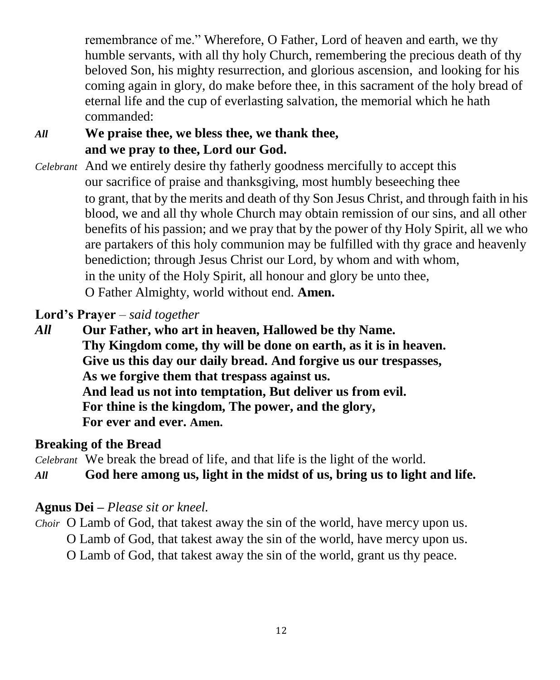remembrance of me." Wherefore, O Father, Lord of heaven and earth, we thy humble servants, with all thy holy Church, remembering the precious death of thy beloved Son, his mighty resurrection, and glorious ascension, and looking for his coming again in glory, do make before thee, in this sacrament of the holy bread of eternal life and the cup of everlasting salvation, the memorial which he hath commanded:

- *All* **We praise thee, we bless thee, we thank thee, and we pray to thee, Lord our God.**
- *Celebrant* And we entirely desire thy fatherly goodness mercifully to accept this our sacrifice of praise and thanksgiving, most humbly beseeching thee to grant, that by the merits and death of thy Son Jesus Christ, and through faith in his blood, we and all thy whole Church may obtain remission of our sins, and all other benefits of his passion; and we pray that by the power of thy Holy Spirit, all we who are partakers of this holy communion may be fulfilled with thy grace and heavenly benediction; through Jesus Christ our Lord, by whom and with whom, in the unity of the Holy Spirit, all honour and glory be unto thee, O Father Almighty, world without end. **Amen.**

#### **Lord's Prayer** – *said together*

*All* **Our Father, who art in heaven, Hallowed be thy Name. Thy Kingdom come, thy will be done on earth, as it is in heaven. Give us this day our daily bread. And forgive us our trespasses, As we forgive them that trespass against us. And lead us not into temptation, But deliver us from evil. For thine is the kingdom, The power, and the glory, For ever and ever. Amen.**

#### **Breaking of the Bread**

*Celebrant* We break the bread of life, and that life is the light of the world.

*All* **God here among us, light in the midst of us, bring us to light and life.**

#### **Agnus Dei –** *Please sit or kneel.*

- *Choir* O Lamb of God, that takest away the sin of the world, have mercy upon us.
	- O Lamb of God, that takest away the sin of the world, have mercy upon us.
	- O Lamb of God, that takest away the sin of the world, grant us thy peace.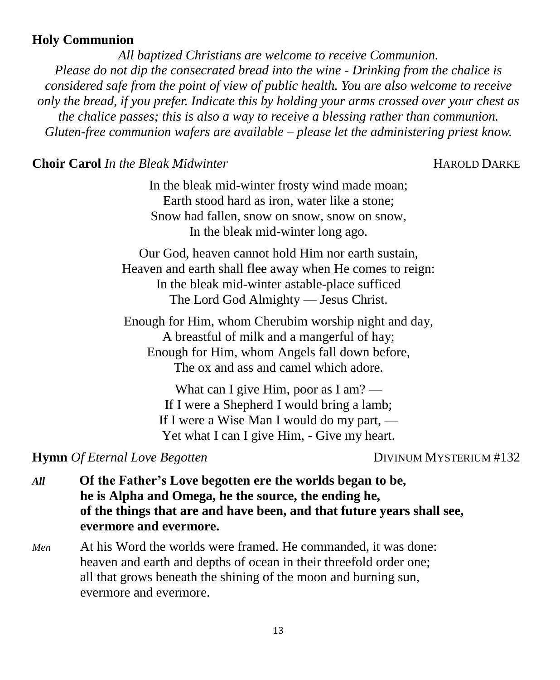#### **Holy Communion**

*All baptized Christians are welcome to receive Communion. Please do not dip the consecrated bread into the wine - Drinking from the chalice is considered safe from the point of view of public health. You are also welcome to receive only the bread, if you prefer. Indicate this by holding your arms crossed over your chest as the chalice passes; this is also a way to receive a blessing rather than communion. Gluten-free communion wafers are available – please let the administering priest know.*

**Choir Carol** *In the Bleak Midwinter* **HAROLD DARKE** 

In the bleak mid-winter frosty wind made moan; Earth stood hard as iron, water like a stone; Snow had fallen, snow on snow, snow on snow, In the bleak mid-winter long ago.

Our God, heaven cannot hold Him nor earth sustain, Heaven and earth shall flee away when He comes to reign: In the bleak mid-winter astable-place sufficed The Lord God Almighty — Jesus Christ.

Enough for Him, whom Cherubim worship night and day, A breastful of milk and a mangerful of hay; Enough for Him, whom Angels fall down before, The ox and ass and camel which adore.

> What can I give Him, poor as I am? — If I were a Shepherd I would bring a lamb; If I were a Wise Man I would do my part, — Yet what I can I give Him, - Give my heart.

**Hymn** *Of Eternal Love Begotten* **DIVINUM MYSTERIUM #132** 

*All* **Of the Father's Love begotten ere the worlds began to be, he is Alpha and Omega, he the source, the ending he, of the things that are and have been, and that future years shall see, evermore and evermore.**

*Men* At his Word the worlds were framed. He commanded, it was done: heaven and earth and depths of ocean in their threefold order one; all that grows beneath the shining of the moon and burning sun, evermore and evermore.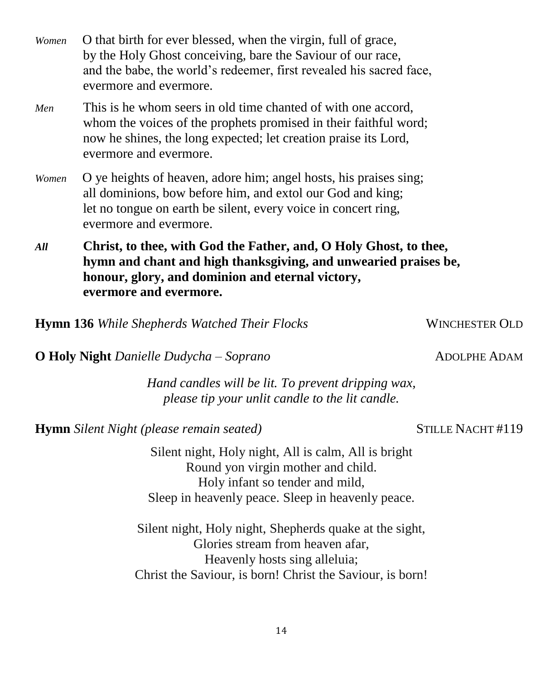| Women | O that birth for ever blessed, when the virgin, full of grace,      |
|-------|---------------------------------------------------------------------|
|       | by the Holy Ghost conceiving, bare the Saviour of our race,         |
|       | and the babe, the world's redeemer, first revealed his sacred face, |
|       | evermore and evermore.                                              |

- *Men* This is he whom seers in old time chanted of with one accord, whom the voices of the prophets promised in their faithful word; now he shines, the long expected; let creation praise its Lord, evermore and evermore.
- *Women* O ye heights of heaven, adore him; angel hosts, his praises sing; all dominions, bow before him, and extol our God and king; let no tongue on earth be silent, every voice in concert ring, evermore and evermore.
- *All* **Christ, to thee, with God the Father, and, O Holy Ghost, to thee, hymn and chant and high thanksgiving, and unwearied praises be, honour, glory, and dominion and eternal victory, evermore and evermore.**

|  |  | <b>Hymn 136</b> While Shepherds Watched Their Flocks |
|--|--|------------------------------------------------------|
|--|--|------------------------------------------------------|

**Hymn 136** *While Shepherds Watched Their Flocks* WINCHESTER OLD

**O Holy Night** *Danielle Dudycha – Soprano* ADOLPHE ADAM

*Hand candles will be lit. To prevent dripping wax, please tip your unlit candle to the lit candle.*

**Hymn** *Silent Night* (*please remain seated*) STILLE NACHT #119

Silent night, Holy night, All is calm, All is bright Round yon virgin mother and child. Holy infant so tender and mild, Sleep in heavenly peace. Sleep in heavenly peace.

Silent night, Holy night, Shepherds quake at the sight, Glories stream from heaven afar, Heavenly hosts sing alleluia; Christ the Saviour, is born! Christ the Saviour, is born!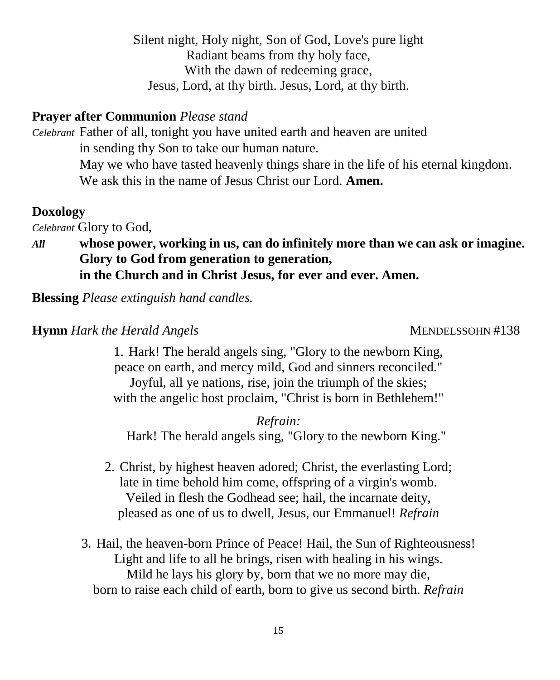Silent night, Holy night, Son of God, Love's pure light Radiant beams from thy holy face, With the dawn of redeeming grace, Jesus, Lord, at thy birth. Jesus, Lord, at thy birth.

# **Prayer after Communion** *Please stand*

*Celebrant* Father of all, tonight you have united earth and heaven are united in sending thy Son to take our human nature. May we who have tasted heavenly things share in the life of his eternal kingdom. We ask this in the name of Jesus Christ our Lord. **Amen.**

#### **Doxology**

*Celebrant* Glory to God,

*All* **whose power, working in us, can do infinitely more than we can ask or imagine. Glory to God from generation to generation, in the Church and in Christ Jesus, for ever and ever. Amen.**

**Blessing** *Please extinguish hand candles.*

#### **Hymn** *Hark the Herald Angels* MENDELSSOHN #138

1. Hark! The herald angels sing, "Glory to the newborn King, peace on earth, and mercy mild, God and sinners reconciled." Joyful, all ye nations, rise, join the triumph of the skies; with the angelic host proclaim, "Christ is born in Bethlehem!"

#### *Refrain:*

Hark! The herald angels sing, "Glory to the newborn King."

2. Christ, by highest heaven adored; Christ, the everlasting Lord; late in time behold him come, offspring of a virgin's womb. Veiled in flesh the Godhead see; hail, the incarnate deity, pleased as one of us to dwell, Jesus, our Emmanuel! *Refrain*

3. Hail, the heaven-born Prince of Peace! Hail, the Sun of Righteousness! Light and life to all he brings, risen with healing in his wings. Mild he lays his glory by, born that we no more may die, born to raise each child of earth, born to give us second birth. *Refrain*